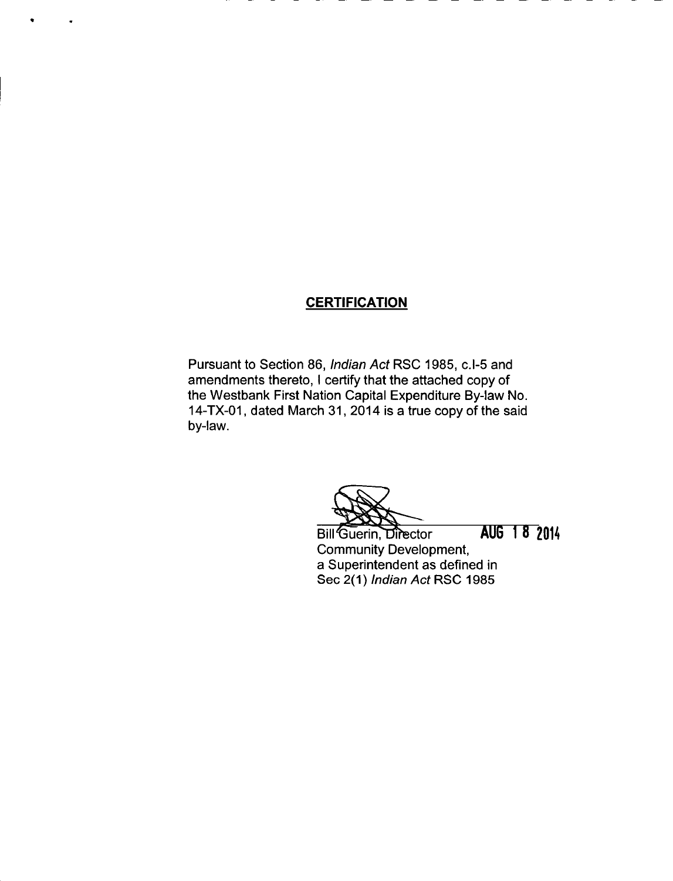## **CERTIFICATION**

Pursuant to Section 86, Indian Act RSC 1985, c.I-5 and amendments thereto, I certify that the attached copy of the Westbank First Nation Capital Expenditure By-law No. 14-TX-01, dated March 31, 2014 is a true copy of the said by-law.

AUG 18 2014 **Bill Guerin, Director Community Development,** a Superintendent as defined in Sec 2(1) Indian Act RSC 1985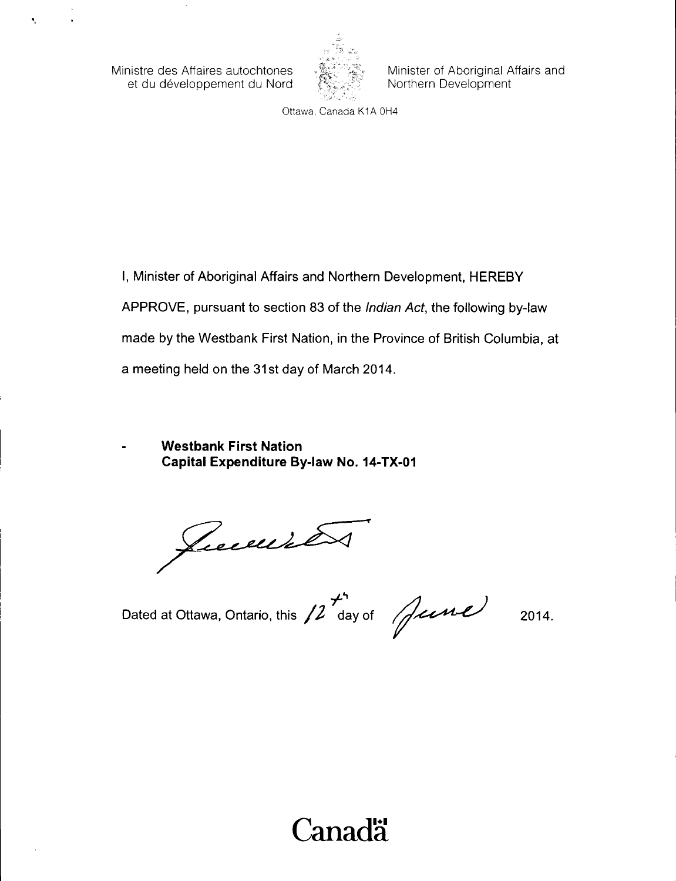Ministre des Affaires autochtones et du developpement du Nord

 $\bullet$ 



Minister of Aboriginal Affairs and Northern Development

Ottawa, Canada K1A OH4

I, Minister of Aboriginal Affairs and Northern Development, HEREBY APPROVE, pursuant to section 83 of the *Indian Act*, the following by-law made by the Westbank First Nation, in the Province of British Columbia, at a meeting held on the 31st day of March 2014.

Westbank First Nation Capital Expenditure By-law No. 14-TX-01

Jumie

Dated at Ottawa, Ontario, this  $\frac{1}{2}$  day of  $\sqrt{2}$  2014.

# Canadä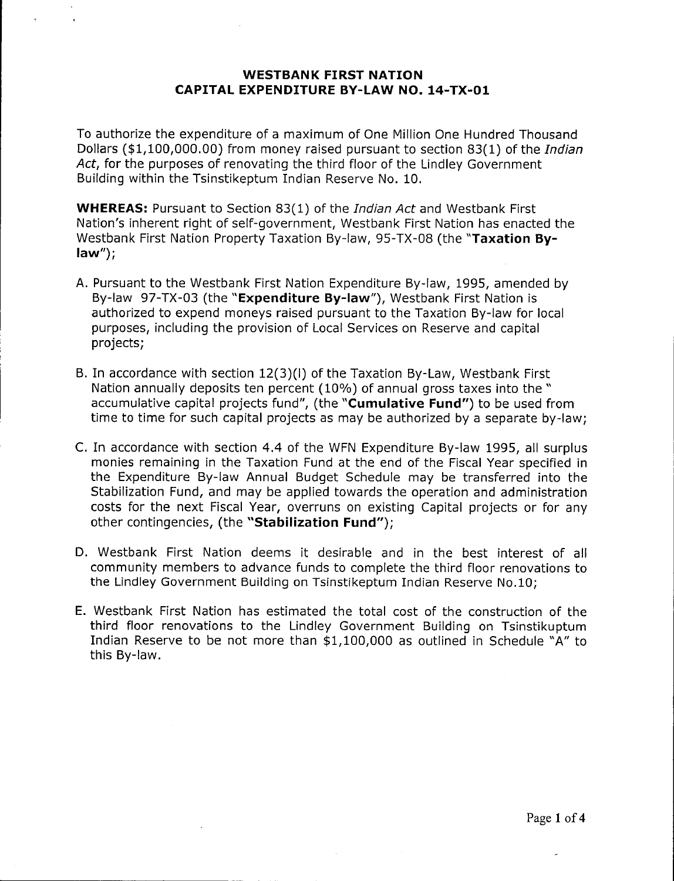## WESTBANK FIRST NATION CAPITAL EXPENDITURE BY -LAW NO. 14 -TX -01

To authorize the expenditure of a maximum of One Million One Hundred Thousand Dollars (\$1,100,000.00) from money raised pursuant to section 83(1) of the Indian Act, for the purposes of renovating the third floor of the Lindley Government Building within the Tsinstikeptum Indian Reserve No. 10.

WHEREAS: Pursuant to Section 83(1) of the *Indian Act* and Westbank First Nation's inherent right of self-government, Westbank First Nation has enacted the Westbank First Nation Property Taxation By-law, 95-TX-08 (the "Taxation Bylaw");

- A. Pursuant to the Westbank First Nation Expenditure By -law, 1995, amended by By-law 97-TX-03 (the "Expenditure By-law"), Westbank First Nation is authorized to expend moneys raised pursuant to the Taxation By -law for local purposes, including the provision of Local Services on Reserve and capital projects;
- B. In accordance with section 12(3)(1) of the Taxation By-Law, Westbank First Nation annually deposits ten percent (10%) of annual gross taxes into the " accumulative capital projects fund", (the "Cumulative Fund") to be used from time to time for such capital projects as may be authorized by <sup>a</sup> separate by -law;
- C. In accordance with section 4.4 of the WFN Expenditure By-law 1995, all surplus monies remaining in the Taxation Fund at the end of the Fiscal Year specified in the Expenditure By -law Annual Budget Schedule may be transferred into the Stabilization Fund, and may be applied towards the operation and administration costs for the next Fiscal Year, overruns on existing Capital projects or for any other contingencies, (the "Stabilization Fund");
- D. Westbank First Nation deems it desirable and in the best interest of all community members to advance funds to complete the third floor renovations to the Lindley Government Building on Tsinstikeptum Indian Reserve No. 10;
- E. Westbank First Nation has estimated the total cost of the construction of the third floor renovations to the Lindley Government Building on Tsinstikuptum Indian Reserve to be not more than \$1,100,000 as outlined in Schedule "A" to this By-law.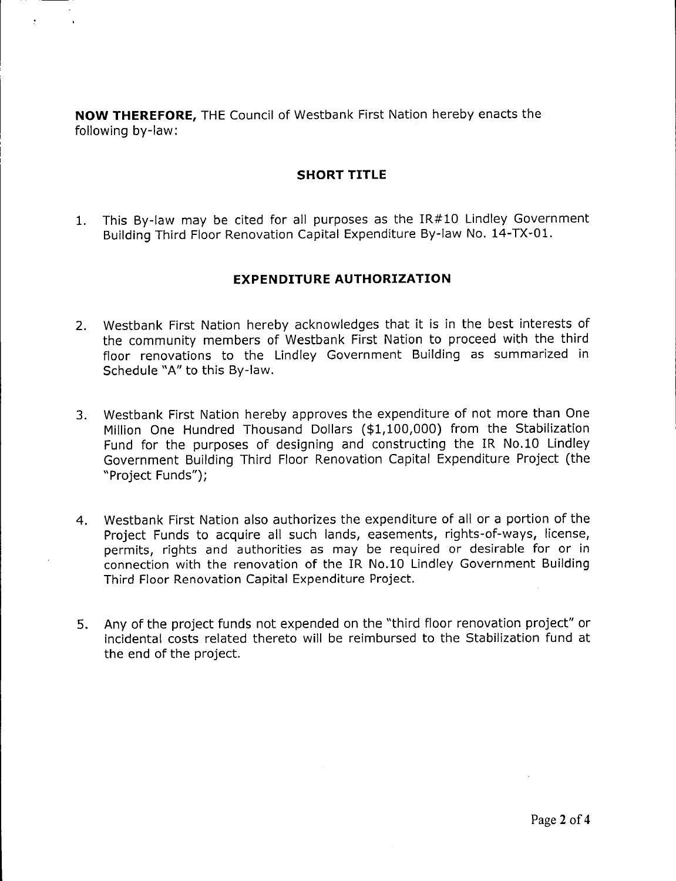NOW THEREFORE, THE Council of Westbank First Nation hereby enacts the following by-law:

## SHORT TITLE

1. This By-law may be cited for all purposes as the IR#10 Lindley Government Building Third Floor Renovation Capital Expenditure By-law No. 14-TX-01.

## EXPENDITURE AUTHORIZATION

- 2. Westbank First Nation hereby acknowledges that it is in the best interests of the community members of Westbank First Nation to proceed with the third floor renovations to the Lindley Government Building as summarized in Schedule "A" to this By-law.
- 3. Westbank First Nation hereby approves the expenditure of not more than One Million One Hundred Thousand Dollars (\$1,100,000) from the Stabilization Fund for the purposes of designing and constructing the IR No. 10 Lindley Government Building Third Floor Renovation Capital Expenditure Project ( the "Project Funds");
- 4. Westbank First Nation also authorizes the expenditure of all or a portion of the Project Funds to acquire all such lands, easements, rights-of-ways, license, permits, rights and authorities as may be required or desirable for or in connection with the renovation of the IR No. 10 Lindley Government Building Third Floor Renovation Capital Expenditure Project.
- 5. Any of the project funds not expended on the "third floor renovation project" or incidental costs related thereto will be reimbursed to the Stabilization fund at the end of the project.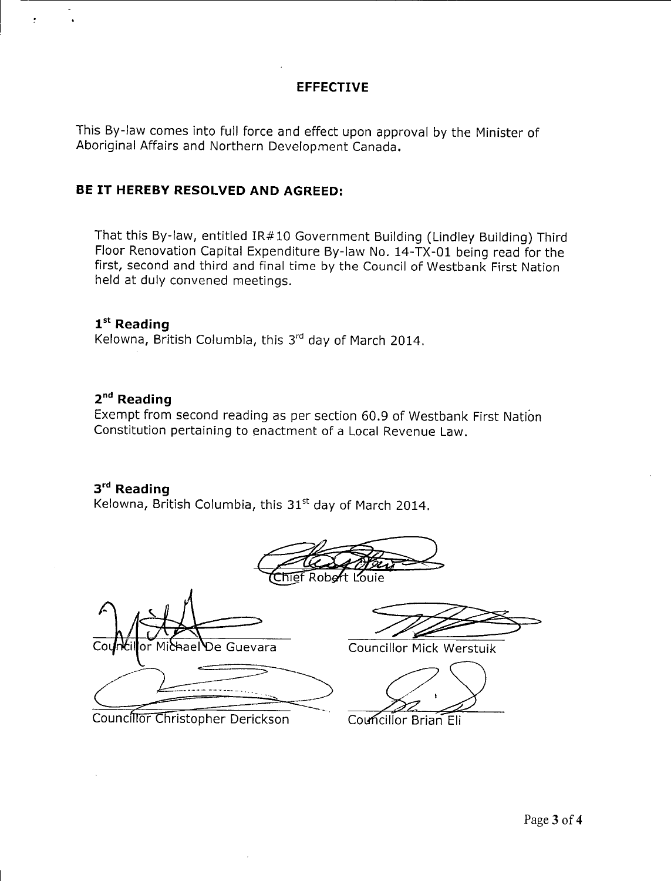## EFFECTIVE

This By -law comes into full force and effect upon approval by the Minister of Aboriginal Affairs and Northern Development Canada.

## BE IT HEREBY RESOLVED AND AGREED:

That this By -law, entitled IR # 10 Government Building ( Lindley Building) Third Floor Renovation Capital Expenditure By -law No. 14 -TX -01 being read for the first, second and third and final time by the Council of Westbank First Nation held at duly convened meetings.

# $1<sup>st</sup>$  Reading

Kelowna, British Columbia, this 3rd day of March 2014.

## 2<sup>nd</sup> Reading

Exempt from second reading as per section 60. 9 of Westbank First Nation Constitution pertaining to enactment of a Local Revenue Law.

# 3rd Reading

Kelowna, British Columbia, this  $31<sup>st</sup>$  day of March 2014.

't Louie

De Guevara Naael

Councillor Mick Werstuik

Councillor Christopher Derickson<br>
Councillor Brian Eli